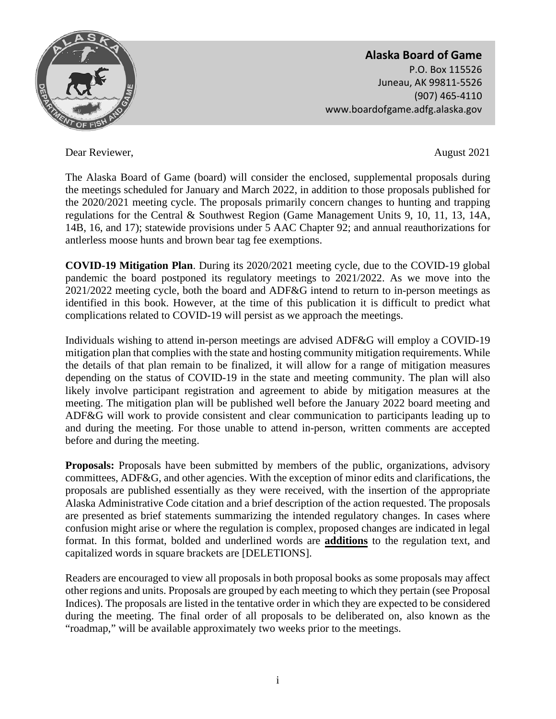

Dear Reviewer, August 2021

The Alaska Board of Game (board) will consider the enclosed, supplemental proposals during the meetings scheduled for January and March 2022, in addition to those proposals published for the 2020/2021 meeting cycle. The proposals primarily concern changes to hunting and trapping regulations for the Central & Southwest Region (Game Management Units 9, 10, 11, 13, 14A, 14B, 16, and 17); statewide provisions under 5 AAC Chapter 92; and annual reauthorizations for antlerless moose hunts and brown bear tag fee exemptions.

**COVID-19 Mitigation Plan**. During its 2020/2021 meeting cycle, due to the COVID-19 global pandemic the board postponed its regulatory meetings to 2021/2022. As we move into the 2021/2022 meeting cycle, both the board and ADF&G intend to return to in-person meetings as identified in this book. However, at the time of this publication it is difficult to predict what complications related to COVID-19 will persist as we approach the meetings.

Individuals wishing to attend in-person meetings are advised ADF&G will employ a COVID-19 mitigation plan that complies with the state and hosting community mitigation requirements. While the details of that plan remain to be finalized, it will allow for a range of mitigation measures depending on the status of COVID-19 in the state and meeting community. The plan will also likely involve participant registration and agreement to abide by mitigation measures at the meeting. The mitigation plan will be published well before the January 2022 board meeting and ADF&G will work to provide consistent and clear communication to participants leading up to and during the meeting. For those unable to attend in-person, written comments are accepted before and during the meeting.

**Proposals:** Proposals have been submitted by members of the public, organizations, advisory committees, ADF&G, and other agencies. With the exception of minor edits and clarifications, the proposals are published essentially as they were received, with the insertion of the appropriate Alaska Administrative Code citation and a brief description of the action requested. The proposals are presented as brief statements summarizing the intended regulatory changes. In cases where confusion might arise or where the regulation is complex, proposed changes are indicated in legal format. In this format, bolded and underlined words are **additions** to the regulation text, and capitalized words in square brackets are [DELETIONS].

Readers are encouraged to view all proposals in both proposal books as some proposals may affect other regions and units. Proposals are grouped by each meeting to which they pertain (see Proposal Indices). The proposals are listed in the tentative order in which they are expected to be considered during the meeting. The final order of all proposals to be deliberated on, also known as the "roadmap," will be available approximately two weeks prior to the meetings.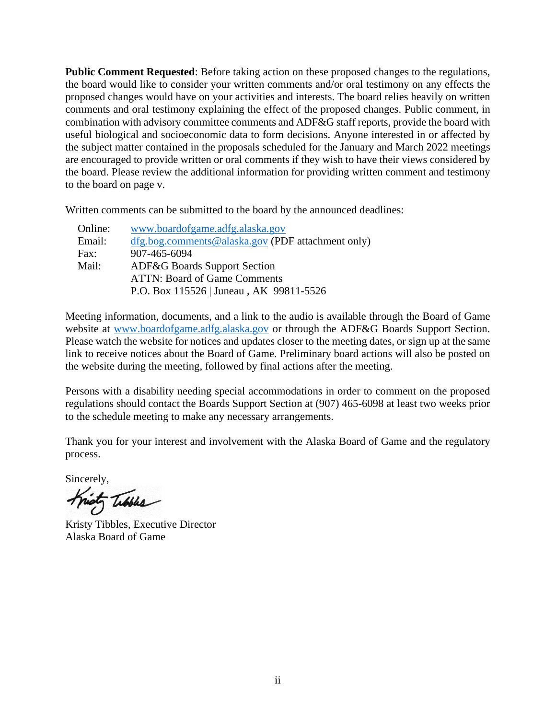**Public Comment Requested**: Before taking action on these proposed changes to the regulations, the board would like to consider your written comments and/or oral testimony on any effects the proposed changes would have on your activities and interests. The board relies heavily on written comments and oral testimony explaining the effect of the proposed changes. Public comment, in combination with advisory committee comments and ADF&G staff reports, provide the board with useful biological and socioeconomic data to form decisions. Anyone interested in or affected by the subject matter contained in the proposals scheduled for the January and March 2022 meetings are encouraged to provide written or oral comments if they wish to have their views considered by the board. Please review the additional information for providing written comment and testimony to the board on page v.

Written comments can be submitted to the board by the announced deadlines:

| www.boardofgame.adfg.alaska.gov                   |
|---------------------------------------------------|
| dfg.bog.comments@alaska.gov (PDF attachment only) |
| 907-465-6094                                      |
| <b>ADF&amp;G Boards Support Section</b>           |
| <b>ATTN: Board of Game Comments</b>               |
| P.O. Box 115526   Juneau, AK 99811-5526           |
|                                                   |

Meeting information, documents, and a link to the audio is available through the Board of Game website at [www.boardofgame.adfg.alaska.gov](http://www.boardofgame.adfg.alaska.gov/) or through the ADF&G Boards Support Section. Please watch the website for notices and updates closer to the meeting dates, or sign up at the same link to receive notices about the Board of Game. Preliminary board actions will also be posted on the website during the meeting, followed by final actions after the meeting.

Persons with a disability needing special accommodations in order to comment on the proposed regulations should contact the Boards Support Section at (907) 465-6098 at least two weeks prior to the schedule meeting to make any necessary arrangements.

Thank you for your interest and involvement with the Alaska Board of Game and the regulatory process.

Sincerely,

Kristy Tibbles, Executive Director Alaska Board of Game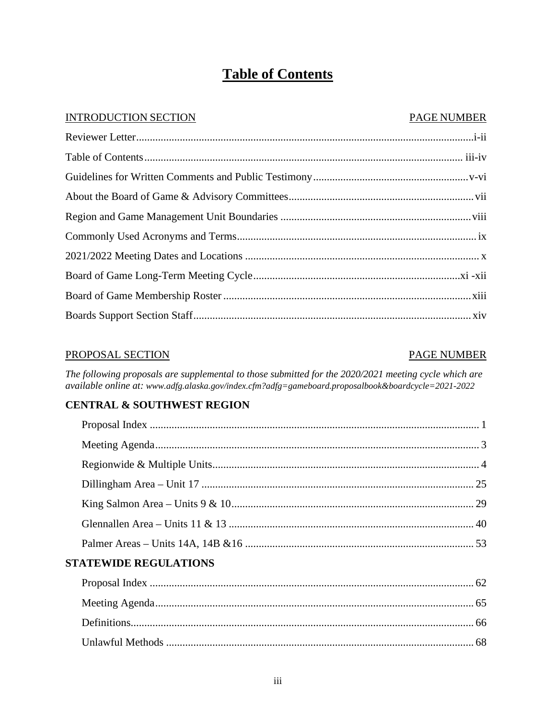# **Table of Contents**

### **INTRODUCTION SECTION**

### **PAGE NUMBER**

### PROPOSAL SECTION

### **PAGE NUMBER**

The following proposals are supplemental to those submitted for the 2020/2021 meeting cycle which are available online at: www.adfg.alaska.gov/index.cfm?adfg=gameboard.proposalbook&boardcycle=2021-2022

## **CENTRAL & SOUTHWEST REGION**

| <b>EXPERIENCE DECLUI A TIONS</b> |  |
|----------------------------------|--|

## STATEWIDE REGULATIONS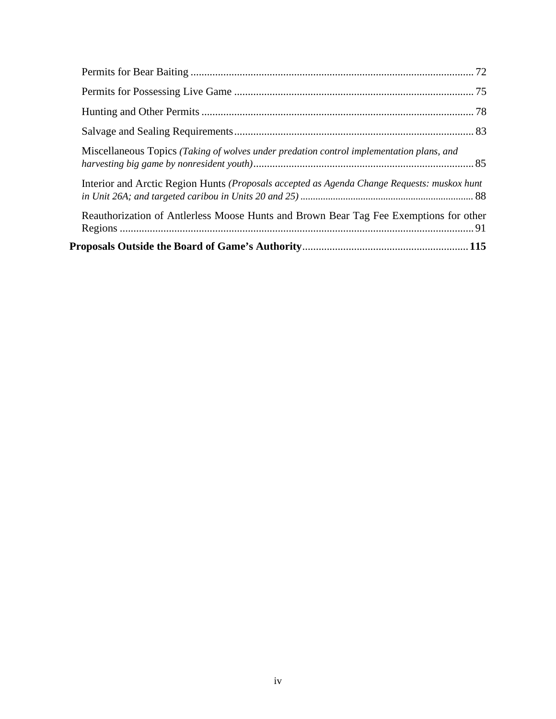| Miscellaneous Topics (Taking of wolves under predation control implementation plans, and    |  |
|---------------------------------------------------------------------------------------------|--|
| Interior and Arctic Region Hunts (Proposals accepted as Agenda Change Requests: muskox hunt |  |
| Reauthorization of Antlerless Moose Hunts and Brown Bear Tag Fee Exemptions for other       |  |
|                                                                                             |  |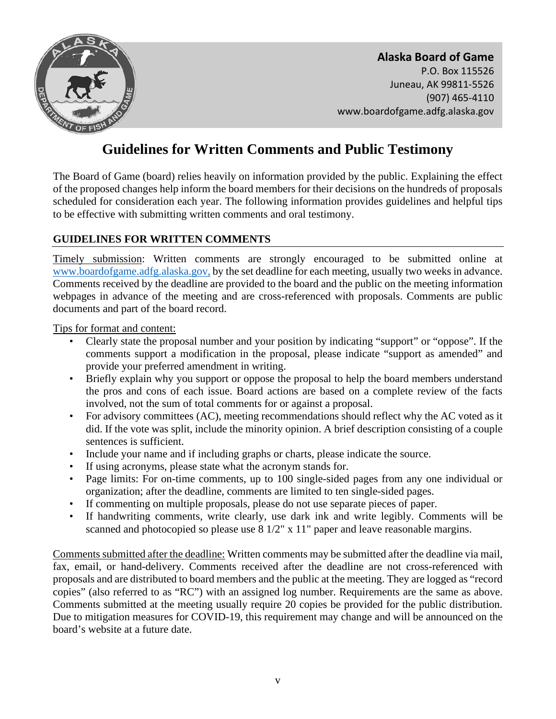

# **Guidelines for Written Comments and Public Testimony**

The Board of Game (board) relies heavily on information provided by the public. Explaining the effect of the proposed changes help inform the board members for their decisions on the hundreds of proposals scheduled for consideration each year. The following information provides guidelines and helpful tips to be effective with submitting written comments and oral testimony.

### **GUIDELINES FOR WRITTEN COMMENTS**

Timely submission: Written comments are strongly encouraged to be submitted online at [www.boardofgame.adfg.alaska.gov,](http://www.boardofgame.adfg.alaska.gov/) by the set deadline for each meeting, usually two weeks in advance. Comments received by the deadline are provided to the board and the public on the meeting information webpages in advance of the meeting and are cross-referenced with proposals. Comments are public documents and part of the board record.

Tips for format and content:

- Clearly state the proposal number and your position by indicating "support" or "oppose". If the comments support a modification in the proposal, please indicate "support as amended" and provide your preferred amendment in writing.
- Briefly explain why you support or oppose the proposal to help the board members understand the pros and cons of each issue. Board actions are based on a complete review of the facts involved, not the sum of total comments for or against a proposal.
- For advisory committees (AC), meeting recommendations should reflect why the AC voted as it did. If the vote was split, include the minority opinion. A brief description consisting of a couple sentences is sufficient.
- Include your name and if including graphs or charts, please indicate the source.
- If using acronyms, please state what the acronym stands for.
- Page limits: For on-time comments, up to 100 single-sided pages from any one individual or organization; after the deadline, comments are limited to ten single-sided pages.
- If commenting on multiple proposals, please do not use separate pieces of paper.
- If handwriting comments, write clearly, use dark ink and write legibly. Comments will be scanned and photocopied so please use 8 1/2" x 11" paper and leave reasonable margins.

Comments submitted after the deadline: Written comments may be submitted after the deadline via mail, fax, email, or hand-delivery. Comments received after the deadline are not cross-referenced with proposals and are distributed to board members and the public at the meeting. They are logged as "record copies" (also referred to as "RC") with an assigned log number. Requirements are the same as above. Comments submitted at the meeting usually require 20 copies be provided for the public distribution. Due to mitigation measures for COVID-19, this requirement may change and will be announced on the board's website at a future date.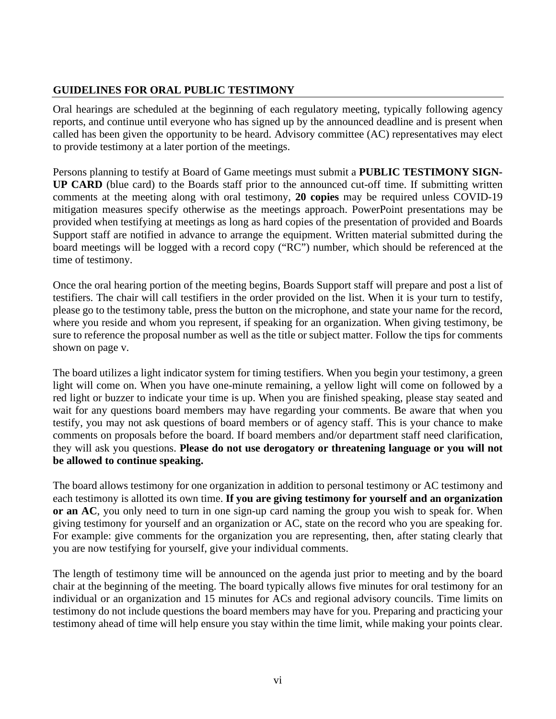## **GUIDELINES FOR ORAL PUBLIC TESTIMONY**

Oral hearings are scheduled at the beginning of each regulatory meeting, typically following agency reports, and continue until everyone who has signed up by the announced deadline and is present when called has been given the opportunity to be heard. Advisory committee (AC) representatives may elect to provide testimony at a later portion of the meetings.

Persons planning to testify at Board of Game meetings must submit a **PUBLIC TESTIMONY SIGN-UP CARD** (blue card) to the Boards staff prior to the announced cut-off time. If submitting written comments at the meeting along with oral testimony, **20 copies** may be required unless COVID-19 mitigation measures specify otherwise as the meetings approach. PowerPoint presentations may be provided when testifying at meetings as long as hard copies of the presentation of provided and Boards Support staff are notified in advance to arrange the equipment. Written material submitted during the board meetings will be logged with a record copy ("RC") number, which should be referenced at the time of testimony.

Once the oral hearing portion of the meeting begins, Boards Support staff will prepare and post a list of testifiers. The chair will call testifiers in the order provided on the list. When it is your turn to testify, please go to the testimony table, press the button on the microphone, and state your name for the record, where you reside and whom you represent, if speaking for an organization. When giving testimony, be sure to reference the proposal number as well as the title or subject matter. Follow the tips for comments shown on page v.

The board utilizes a light indicator system for timing testifiers. When you begin your testimony, a green light will come on. When you have one-minute remaining, a yellow light will come on followed by a red light or buzzer to indicate your time is up. When you are finished speaking, please stay seated and wait for any questions board members may have regarding your comments. Be aware that when you testify, you may not ask questions of board members or of agency staff. This is your chance to make comments on proposals before the board. If board members and/or department staff need clarification, they will ask you questions. **Please do not use derogatory or threatening language or you will not be allowed to continue speaking.** 

The board allows testimony for one organization in addition to personal testimony or AC testimony and each testimony is allotted its own time. **If you are giving testimony for yourself and an organization or an AC**, you only need to turn in one sign-up card naming the group you wish to speak for. When giving testimony for yourself and an organization or AC, state on the record who you are speaking for. For example: give comments for the organization you are representing, then, after stating clearly that you are now testifying for yourself, give your individual comments.

The length of testimony time will be announced on the agenda just prior to meeting and by the board chair at the beginning of the meeting. The board typically allows five minutes for oral testimony for an individual or an organization and 15 minutes for ACs and regional advisory councils. Time limits on testimony do not include questions the board members may have for you. Preparing and practicing your testimony ahead of time will help ensure you stay within the time limit, while making your points clear.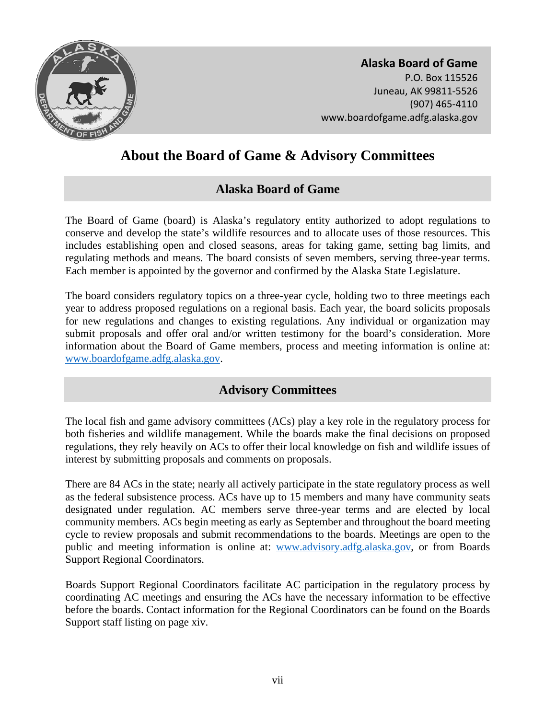<span id="page-6-0"></span>

# **About the Board of Game & Advisory Committees**

# **Alaska Board of Game**

The Board of Game (board) is Alaska's regulatory entity authorized to adopt regulations to conserve and develop the state's wildlife resources and to allocate uses of those resources. This includes establishing open and closed seasons, areas for taking game, setting bag limits, and regulating methods and means. The board consists of seven members, serving three-year terms. Each member is appointed by the governor and confirmed by the Alaska State Legislature.

The board considers regulatory topics on a three-year cycle, holding two to three meetings each year to address proposed regulations on a regional basis. Each year, the board solicits proposals for new regulations and changes to existing regulations. Any individual or organization may submit proposals and offer oral and/or written testimony for the board's consideration. More information about the Board of Game members, process and meeting information is online at: [www.boardofgame.adfg.alaska.gov.](http://www.boardofgame.adfg.alaska.gov/)

# **Advisory Committees**

The local fish and game advisory committees (ACs) play a key role in the regulatory process for both fisheries and wildlife management. While the boards make the final decisions on proposed regulations, they rely heavily on ACs to offer their local knowledge on fish and wildlife issues of interest by submitting proposals and comments on proposals.

There are 84 ACs in the state; nearly all actively participate in the state regulatory process as well as the federal subsistence process. ACs have up to 15 members and many have community seats designated under regulation. AC members serve three-year terms and are elected by local community members. ACs begin meeting as early as September and throughout the board meeting cycle to review proposals and submit recommendations to the boards. Meetings are open to the public and meeting information is online at: [www.advisory.adfg.alaska.gov,](http://www.advisory.adfg.alaska.gov/) or from Boards Support Regional Coordinators.

Boards Support Regional Coordinators facilitate AC participation in the regulatory process by coordinating AC meetings and ensuring the ACs have the necessary information to be effective before the boards. Contact information for the Regional Coordinators can be found on the Boards Support staff listing on page xiv.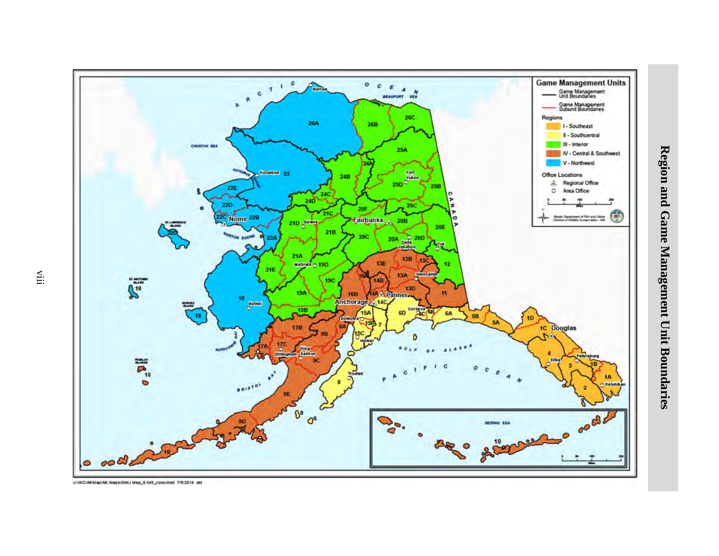<span id="page-7-0"></span>

Region and Game Management Unit Boundaries **Region and Game Management Unit Boundaries** 

UNIVCIAKMapIAK MapsiGMU Map\_6.5x9\_color.mxd\_7/9/2014\_skt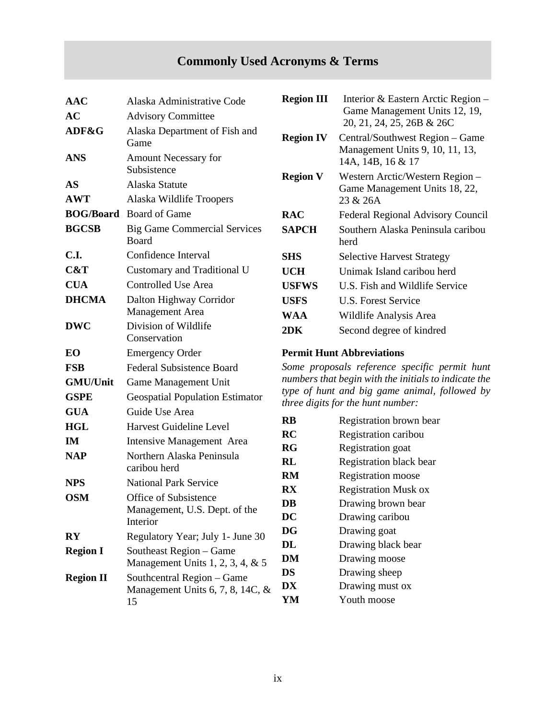# **Commonly Used Acronyms & Terms**

| <b>AAC</b>             | Alaska Administrative Code                          | <b>Region III</b>                                                                     | Interior & Eastern Arctic Regi                               |
|------------------------|-----------------------------------------------------|---------------------------------------------------------------------------------------|--------------------------------------------------------------|
| AC                     | <b>Advisory Committee</b>                           |                                                                                       | Game Management Units 12,<br>20, 21, 24, 25, 26B & 26C       |
| ADF&G                  | Alaska Department of Fish and<br>Game               | <b>Region IV</b><br>Central/Southwest Region $-$ Ga<br>Management Units 9, 10, 11, 13 |                                                              |
| <b>ANS</b>             | <b>Amount Necessary for</b><br>Subsistence          |                                                                                       | 14A, 14B, 16 & 17                                            |
| <b>AS</b>              | Alaska Statute                                      | <b>Region V</b>                                                                       | Western Arctic/Western Regior<br>Game Management Units 18, 2 |
| <b>AWT</b>             | Alaska Wildlife Troopers                            |                                                                                       | 23 & 26A                                                     |
|                        | <b>BOG/Board</b> Board of Game                      | <b>RAC</b>                                                                            | Federal Regional Advisory Cou                                |
| <b>BGCSB</b>           | <b>Big Game Commercial Services</b><br><b>Board</b> | <b>SAPCH</b>                                                                          | Southern Alaska Peninsula cari<br>herd                       |
| C.I.                   | Confidence Interval                                 | <b>SHS</b>                                                                            | <b>Selective Harvest Strategy</b>                            |
| C&T                    | Customary and Traditional U                         | <b>UCH</b>                                                                            | Unimak Island caribou herd                                   |
| <b>CUA</b>             | <b>Controlled Use Area</b>                          | <b>USFWS</b>                                                                          | U.S. Fish and Wildlife Service                               |
| <b>DHCMA</b>           | Dalton Highway Corridor                             | <b>USFS</b>                                                                           | <b>U.S. Forest Service</b>                                   |
|                        | <b>Management</b> Area                              | <b>WAA</b>                                                                            | Wildlife Analysis Area                                       |
| <b>DWC</b>             | Division of Wildlife<br>Conservation                | 2DK                                                                                   | Second degree of kindred                                     |
| EO                     | <b>Emergency Order</b>                              | <b>Permit Hunt Abbreviations</b><br>Some proposals reference specific permit          |                                                              |
| <b>FSB</b>             | <b>Federal Subsistence Board</b>                    |                                                                                       |                                                              |
| <b>GMU/Unit</b>        | Game Management Unit                                |                                                                                       | numbers that begin with the initials to indicat              |
| <b>GSPE</b>            | <b>Geospatial Population Estimator</b>              | type of hunt and big game animal, followe<br>three digits for the hunt number:        |                                                              |
| <b>GUA</b>             | Guide Use Area                                      |                                                                                       |                                                              |
| <b>HGL</b>             | Harvest Guideline Level                             | <b>RB</b>                                                                             | Registration brown bear                                      |
| IM                     | Intensive Management Area                           | RC<br><b>RG</b>                                                                       | Registration caribou<br>Registration goat                    |
| <b>NAP</b>             | Northern Alaska Peninsula                           | RL                                                                                    | Registration black bear                                      |
|                        | caribou herd                                        | RM                                                                                    | <b>Registration</b> moose                                    |
| <b>NPS</b>             | <b>National Park Service</b>                        | $\mathbf{R}\mathbf{X}$                                                                | <b>Registration Musk ox</b>                                  |
| <b>OSM</b>             | Office of Subsistence                               | DB                                                                                    | Drawing brown bear                                           |
|                        | Management, U.S. Dept. of the<br>Interior           | DC                                                                                    | Drawing caribou                                              |
| $\mathbf{R}\mathbf{Y}$ | Regulatory Year; July 1- June 30                    | <b>DG</b>                                                                             | Drawing goat                                                 |
| <b>Region I</b>        | Southeast Region - Game                             | DL                                                                                    | Drawing black bear                                           |
|                        | Management Units 1, 2, 3, 4, $& 5$                  | DM                                                                                    | Drawing moose                                                |
| <b>Region II</b>       | Southcentral Region - Game                          | <b>DS</b>                                                                             | Drawing sheep                                                |
|                        | Management Units 6, 7, 8, 14C, $\&$                 | DX                                                                                    | Drawing must ox                                              |
|                        | 15                                                  | YM                                                                                    | Youth moose                                                  |

<span id="page-8-0"></span>

| $\bf AAC$<br>AС                  | Alaska Administrative Code<br><b>Advisory Committee</b> | <b>Region III</b> | Interior & Eastern Arctic Region –<br>Game Management Units 12, 19,<br>20, 21, 24, 25, 26B & 26C |
|----------------------------------|---------------------------------------------------------|-------------------|--------------------------------------------------------------------------------------------------|
| <b>ADF&amp;G</b>                 | Alaska Department of Fish and<br>Game                   | <b>Region IV</b>  | Central/Southwest Region – Game<br>Management Units 9, 10, 11, 13,                               |
| ANS                              | <b>Amount Necessary for</b><br>Subsistence              |                   | 14A, 14B, 16 & 17                                                                                |
| AS                               | Alaska Statute                                          | <b>Region V</b>   | Western Arctic/Western Region -<br>Game Management Units 18, 22,                                 |
| $\mathbf{A}\mathbf{W}\mathbf{T}$ | Alaska Wildlife Troopers                                |                   | 23 & 26A                                                                                         |
| <b>BOG/Board</b>                 | <b>Board of Game</b>                                    | <b>RAC</b>        | Federal Regional Advisory Council                                                                |
| BGCSB                            | <b>Big Game Commercial Services</b><br><b>Board</b>     | <b>SAPCH</b>      | Southern Alaska Peninsula caribou<br>herd                                                        |
| C.I.                             | Confidence Interval                                     | <b>SHS</b>        | <b>Selective Harvest Strategy</b>                                                                |
| C&T                              | Customary and Traditional U                             | <b>UCH</b>        | Unimak Island caribou herd                                                                       |
| <b>CUA</b>                       | Controlled Use Area                                     | <b>USFWS</b>      | U.S. Fish and Wildlife Service                                                                   |
| DHCMA                            | Dalton Highway Corridor                                 | <b>USFS</b>       | U.S. Forest Service                                                                              |
|                                  | Management Area                                         | WAA               | Wildlife Analysis Area                                                                           |
| DWC                              | Division of Wildlife                                    | 2DK               | Second degree of kindred                                                                         |

### **Permit Hunt Abbreviations**

Some proposals reference specific permit hunt numbers that begin with the initials to indicate the *type of hunt and big game animal, followed by three digits for the hunt number:* 

| <b>RB</b> | Registration brown bear     |
|-----------|-----------------------------|
| RC        | Registration caribou        |
| RG        | Registration goat           |
| RL        | Registration black bear     |
| RM        | Registration moose          |
| <b>RX</b> | <b>Registration Musk ox</b> |
| DB        | Drawing brown bear          |
| DC        | Drawing caribou             |
| DG        | Drawing goat                |
| DL        | Drawing black bear          |
| <b>DM</b> | Drawing moose               |
| DS        | Drawing sheep               |
| DX        | Drawing must ox             |
| YM        | Youth moose                 |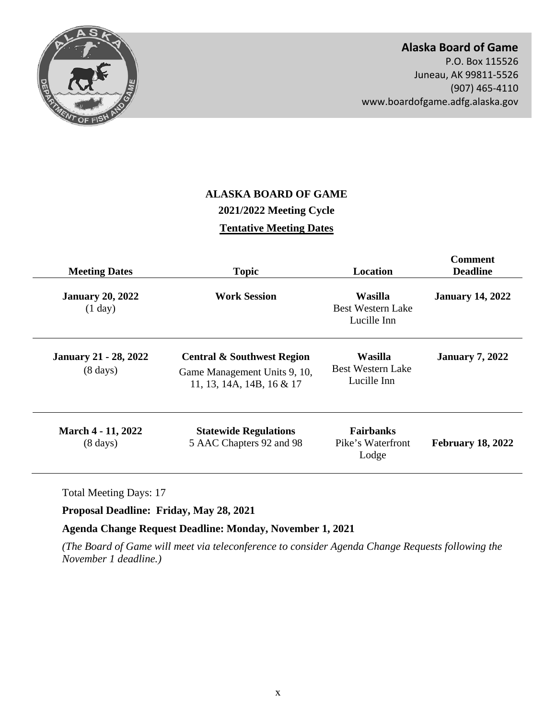<span id="page-9-0"></span>

## **Alaska Board of Game**

P.O. Box 115526 Juneau, AK 99811-5526 (907) 465-4110 <www.boardofgame.adfg.alaska.gov>

# **ALASKA BOARD OF GAME 2021/2022 Meeting Cycle Tentative Meeting Dates**

| <b>Meeting Dates</b>                                                                                 | <b>Topic</b>                                                                                       | <b>Location</b>                                           | <b>Comment</b><br><b>Deadline</b><br><b>January 14, 2022</b> |  |
|------------------------------------------------------------------------------------------------------|----------------------------------------------------------------------------------------------------|-----------------------------------------------------------|--------------------------------------------------------------|--|
| <b>January 20, 2022</b><br>(1 day)                                                                   | <b>Work Session</b>                                                                                | <b>Wasilla</b><br><b>Best Western Lake</b><br>Lucille Inn |                                                              |  |
| <b>January 21 - 28, 2022</b><br>$(8 \text{ days})$                                                   | <b>Central &amp; Southwest Region</b><br>Game Management Units 9, 10,<br>11, 13, 14A, 14B, 16 & 17 | Wasilla<br><b>Best Western Lake</b><br>Lucille Inn        | <b>January 7, 2022</b>                                       |  |
| March 4 - 11, 2022<br><b>Statewide Regulations</b><br>5 AAC Chapters 92 and 98<br>$(8 \text{ days})$ |                                                                                                    | <b>Fairbanks</b><br>Pike's Waterfront<br>Lodge            | <b>February 18, 2022</b>                                     |  |

Total Meeting Days: 17

**Proposal Deadline: Friday, May 28, 2021** 

**Agenda Change Request Deadline: Monday, November 1, 2021** 

*(The Board of Game will meet via teleconference to consider Agenda Change Requests following the November 1 deadline.)*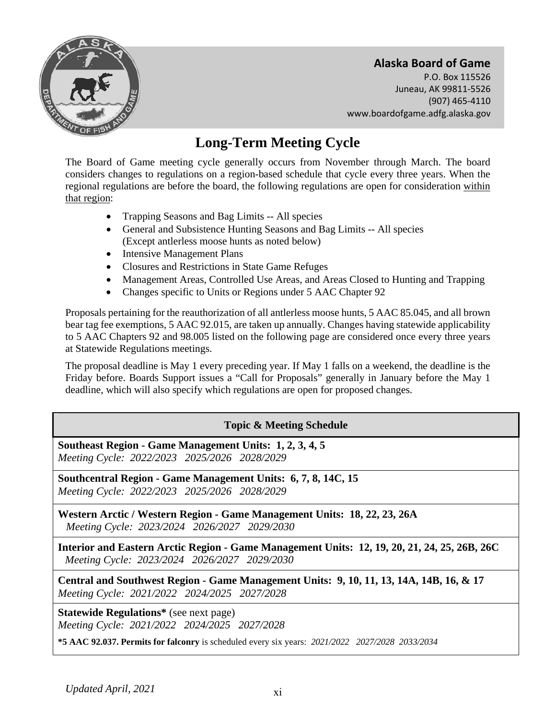

# **Long-Term Meeting Cycle**

The Board of Game meeting cycle generally occurs from November through March. The board considers changes to regulations on a region-based schedule that cycle every three years. When the regional regulations are before the board, the following regulations are open for consideration within that region:

- Trapping Seasons and Bag Limits -- All species
- General and Subsistence Hunting Seasons and Bag Limits -- All species (Except antlerless moose hunts as noted below)
- Intensive Management Plans
- Closures and Restrictions in State Game Refuges
- Management Areas, Controlled Use Areas, and Areas Closed to Hunting and Trapping
- Changes specific to Units or Regions under 5 AAC Chapter 92

Proposals pertaining for the reauthorization of all antlerless moose hunts, 5 AAC 85.045, and all brown bear tag fee exemptions, 5 AAC 92.015, are taken up annually. Changes having statewide applicability to 5 AAC Chapters 92 and 98.005 listed on the following page are considered once every three years at Statewide Regulations meetings.

The proposal deadline is May 1 every preceding year. If May 1 falls on a weekend, the deadline is the Friday before. Boards Support issues a "Call for Proposals" generally in January before the May 1 deadline, which will also specify which regulations are open for proposed changes.

### **Topic & Meeting Schedule**

**Southeast Region - Game Management Units: 1, 2, 3, 4, 5**  *Meeting Cycle: 2022/2023 2025/2026 2028/2029* 

**Southcentral Region - Game Management Units: 6, 7, 8, 14C, 15**  *Meeting Cycle: 2022/2023 2025/2026 2028/2029* 

**Western Arctic / Western Region - Game Management Units: 18, 22, 23, 26A**  *Meeting Cycle: 2023/2024 2026/2027 2029/2030* 

**Interior and Eastern Arctic Region - Game Management Units: 12, 19, 20, 21, 24, 25, 26B, 26C**  *Meeting Cycle: 2023/2024 2026/2027 2029/2030* 

**Central and Southwest Region - Game Management Units: 9, 10, 11, 13, 14A, 14B, 16, & 17**  *Meeting Cycle: 2021/2022 2024/2025 2027/2028* 

**Statewide Regulations\*** (see next page) *Meeting Cycle: 2021/2022 2024/2025 2027/2028* 

**\*5 AAC 92.037. Permits for falconry** is scheduled every six years: *2021/2022 2027/2028 2033/2034*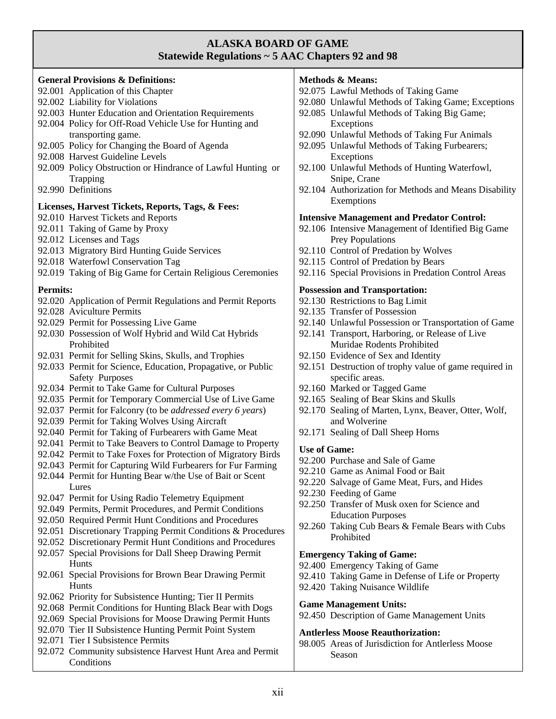### **ALASKA BOARD OF GAME Statewide Regulations ~ 5 AAC Chapters 92 and 98**

#### **General Provisions & Definitions:**

- 92.001 Application of this Chapter
- 92.002 Liability for Violations
- 92.003 Hunter Education and Orientation Requirements
- 92.004 Policy for Off-Road Vehicle Use for Hunting and transporting game.
- 92.005 Policy for Changing the Board of Agenda
- 92.008 Harvest Guideline Levels
- 92.009 Policy Obstruction or Hindrance of Lawful Hunting or Trapping
- 92.990 Definitions

#### **Licenses, Harvest Tickets, Reports, Tags, & Fees:**

- 92.010 Harvest Tickets and Reports
- 92.011 Taking of Game by Proxy
- 92.012 Licenses and Tags
- 92.013 Migratory Bird Hunting Guide Services
- 92.018 Waterfowl Conservation Tag
- 92.019 Taking of Big Game for Certain Religious Ceremonies

#### **Permits:**

- 92.020 Application of Permit Regulations and Permit Reports
- 92.028 Aviculture Permits
- 92.029 Permit for Possessing Live Game
- 92.030 Possession of Wolf Hybrid and Wild Cat Hybrids Prohibited
- 92.031 Permit for Selling Skins, Skulls, and Trophies
- 92.033 Permit for Science, Education, Propagative, or Public Safety Purposes
- 92.034 Permit to Take Game for Cultural Purposes
- 92.035 Permit for Temporary Commercial Use of Live Game
- 92.037 Permit for Falconry (to be *addressed every 6 years*)
- 92.039 Permit for Taking Wolves Using Aircraft
- 92.040 Permit for Taking of Furbearers with Game Meat
- 92.041 Permit to Take Beavers to Control Damage to Property
- 92.042 Permit to Take Foxes for Protection of Migratory Birds
- 92.043 Permit for Capturing Wild Furbearers for Fur Farming 92.044 Permit for Hunting Bear w/the Use of Bait or Scent **Lures**
- 92.047 Permit for Using Radio Telemetry Equipment
- 92.049 Permits, Permit Procedures, and Permit Conditions
- 92.050 Required Permit Hunt Conditions and Procedures
- 92.051 Discretionary Trapping Permit Conditions & Procedures
- 92.052 Discretionary Permit Hunt Conditions and Procedures
- 92.057 Special Provisions for Dall Sheep Drawing Permit Hunts
- 92.061 Special Provisions for Brown Bear Drawing Permit Hunts
- 92.062 Priority for Subsistence Hunting; Tier II Permits
- 92.068 Permit Conditions for Hunting Black Bear with Dogs
- 92.069 Special Provisions for Moose Drawing Permit Hunts
- 92.070 Tier II Subsistence Hunting Permit Point System
- 92.071 Tier I Subsistence Permits
- 92.072 Community subsistence Harvest Hunt Area and Permit **Conditions**

### **Methods & Means:**

92.075 Lawful Methods of Taking Game 92.080 Unlawful Methods of Taking Game; Exceptions 92.085 Unlawful Methods of Taking Big Game; Exceptions 92.090 Unlawful Methods of Taking Fur Animals 92.095 Unlawful Methods of Taking Furbearers; Exceptions 92.100 Unlawful Methods of Hunting Waterfowl, Snipe, Crane 92.104 Authorization for Methods and Means Disability Exemptions **Intensive Management and Predator Control:**  92.106 Intensive Management of Identified Big Game Prey Populations 92.110 Control of Predation by Wolves 92.115 Control of Predation by Bears 92.116 Special Provisions in Predation Control Areas **Possession and Transportation:**  92.130 Restrictions to Bag Limit 92.135 Transfer of Possession 92.140 Unlawful Possession or Transportation of Game 92.141 Transport, Harboring, or Release of Live Muridae Rodents Prohibited 92.150 Evidence of Sex and Identity 92.151 Destruction of trophy value of game required in specific areas. 92.160 Marked or Tagged Game 92.165 Sealing of Bear Skins and Skulls 92.170 Sealing of Marten, Lynx, Beaver, Otter, Wolf, and Wolverine 92.171 Sealing of Dall Sheep Horns **Use of Game:**  92.200 Purchase and Sale of Game 92.210 Game as Animal Food or Bait 92.220 Salvage of Game Meat, Furs, and Hides 92.230 Feeding of Game 92.250 Transfer of Musk oxen for Science and Education Purposes 92.260 Taking Cub Bears & Female Bears with Cubs Prohibited

#### **Emergency Taking of Game:**

- 92.400 Emergency Taking of Game
- 92.410 Taking Game in Defense of Life or Property
- 92.420 Taking Nuisance Wildlife

#### **Game Management Units:**

92.450 Description of Game Management Units

#### **Antlerless Moose Reauthorization:**

98.005 Areas of Jurisdiction for Antlerless Moose Season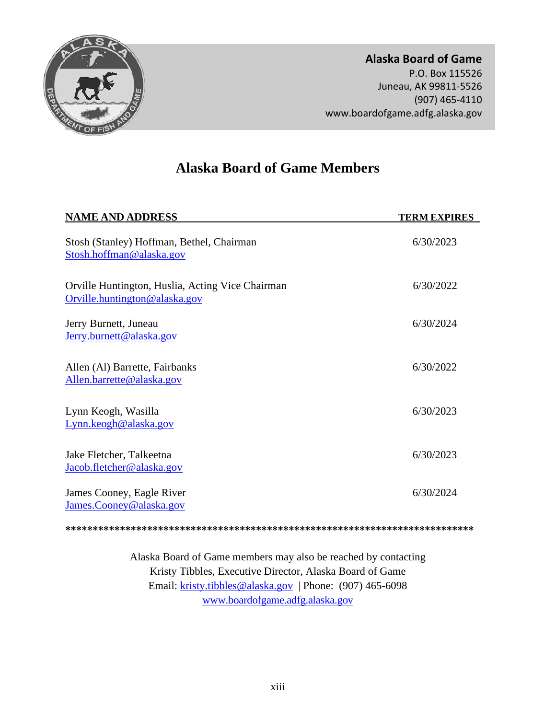<span id="page-12-0"></span>

# **Alaska Board of Game Members**

| <b>NAME AND ADDRESS</b>                                                           | <b>TERM EXPIRES</b> |  |
|-----------------------------------------------------------------------------------|---------------------|--|
| Stosh (Stanley) Hoffman, Bethel, Chairman<br>Stosh.hoffman@alaska.gov             | 6/30/2023           |  |
| Orville Huntington, Huslia, Acting Vice Chairman<br>Orville.huntington@alaska.gov | 6/30/2022           |  |
| Jerry Burnett, Juneau<br>Jerry.burnett@alaska.gov                                 | 6/30/2024           |  |
| Allen (Al) Barrette, Fairbanks<br>Allen.barrette@alaska.gov                       | 6/30/2022           |  |
| Lynn Keogh, Wasilla<br>Lynn.keogh@alaska.gov                                      | 6/30/2023           |  |
| Jake Fletcher, Talkeetna<br>Jacob.fletcher@alaska.gov                             | 6/30/2023           |  |
| James Cooney, Eagle River<br>James.Cooney@alaska.gov                              | 6/30/2024           |  |
|                                                                                   |                     |  |

Alaska Board of Game members may also be reached by contacting Kristy Tibbles, Executive Director, Alaska Board of Game Email: [kristy.tibbles@alaska.gov](mailto:kristy.tibbles@alaska.gov) | Phone: (907) 465-6098 [www.boardofgame.adfg.alaska.gov](http://www.boardofgame.adfg.alaska.gov/)